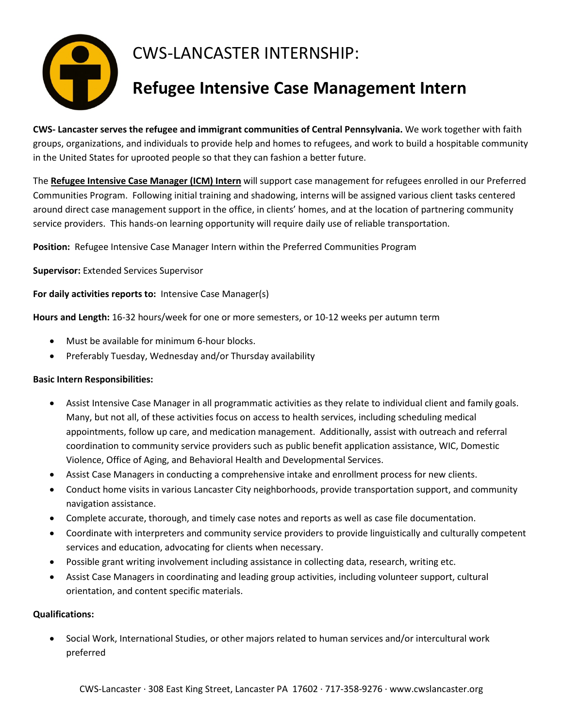

## CWS-LANCASTER INTERNSHIP:

## **Refugee Intensive Case Management Intern**

**CWS- Lancaster serves the refugee and immigrant communities of Central Pennsylvania.** We work together with faith groups, organizations, and individuals to provide help and homes to refugees, and work to build a hospitable community in the United States for uprooted people so that they can fashion a better future.

The **Refugee Intensive Case Manager (ICM) Intern** will support case management for refugees enrolled in our Preferred Communities Program. Following initial training and shadowing, interns will be assigned various client tasks centered around direct case management support in the office, in clients' homes, and at the location of partnering community service providers. This hands-on learning opportunity will require daily use of reliable transportation.

**Position:** Refugee Intensive Case Manager Intern within the Preferred Communities Program

**Supervisor:** Extended Services Supervisor

**For daily activities reports to:** Intensive Case Manager(s)

**Hours and Length:** 16-32 hours/week for one or more semesters, or 10-12 weeks per autumn term

- Must be available for minimum 6-hour blocks.
- Preferably Tuesday, Wednesday and/or Thursday availability

## **Basic Intern Responsibilities:**

- Assist Intensive Case Manager in all programmatic activities as they relate to individual client and family goals. Many, but not all, of these activities focus on access to health services, including scheduling medical appointments, follow up care, and medication management. Additionally, assist with outreach and referral coordination to community service providers such as public benefit application assistance, WIC, Domestic Violence, Office of Aging, and Behavioral Health and Developmental Services.
- Assist Case Managers in conducting a comprehensive intake and enrollment process for new clients.
- Conduct home visits in various Lancaster City neighborhoods, provide transportation support, and community navigation assistance.
- Complete accurate, thorough, and timely case notes and reports as well as case file documentation.
- Coordinate with interpreters and community service providers to provide linguistically and culturally competent services and education, advocating for clients when necessary.
- Possible grant writing involvement including assistance in collecting data, research, writing etc.
- Assist Case Managers in coordinating and leading group activities, including volunteer support, cultural orientation, and content specific materials.

## **Qualifications:**

• Social Work, International Studies, or other majors related to human services and/or intercultural work preferred